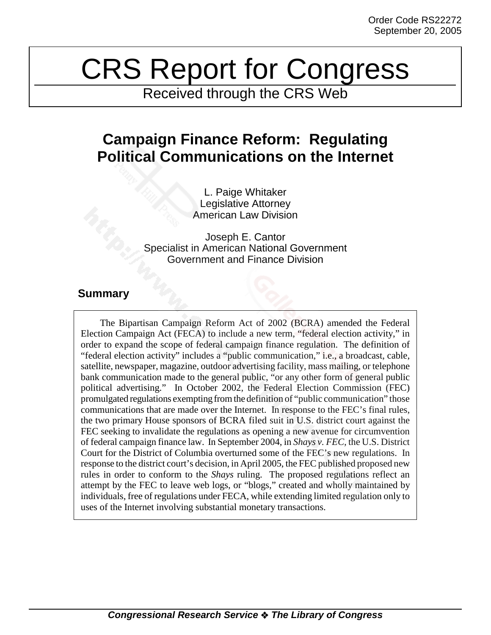# CRS Report for Congress

Received through the CRS Web

## **Campaign Finance Reform: Regulating Political Communications on the Internet**

L. Paige Whitaker Legislative Attorney American Law Division

Joseph E. Cantor Specialist in American National Government Government and Finance Division

### **Summary**

The Bipartisan Campaign Reform Act of 2002 (BCRA) amended the Federal Election Campaign Act (FECA) to include a new term, "federal election activity," in order to expand the scope of federal campaign finance regulation. The definition of "federal election activity" includes a "public communication," i.e., a broadcast, cable, satellite, newspaper, magazine, outdoor advertising facility, mass mailing, or telephone bank communication made to the general public, "or any other form of general public political advertising." In October 2002, the Federal Election Commission (FEC) promulgated regulations exempting from the definition of "public communication" those communications that are made over the Internet. In response to the FEC's final rules, the two primary House sponsors of BCRA filed suit in U.S. district court against the FEC seeking to invalidate the regulations as opening a new avenue for circumvention of federal campaign finance law. In September 2004, in *Shays v. FEC,* the U.S. District Court for the District of Columbia overturned some of the FEC's new regulations. In response to the district court's decision, in April 2005, the FEC published proposed new rules in order to conform to the *Shays* ruling. The proposed regulations reflect an attempt by the FEC to leave web logs, or "blogs," created and wholly maintained by individuals, free of regulations under FECA, while extending limited regulation only to uses of the Internet involving substantial monetary transactions.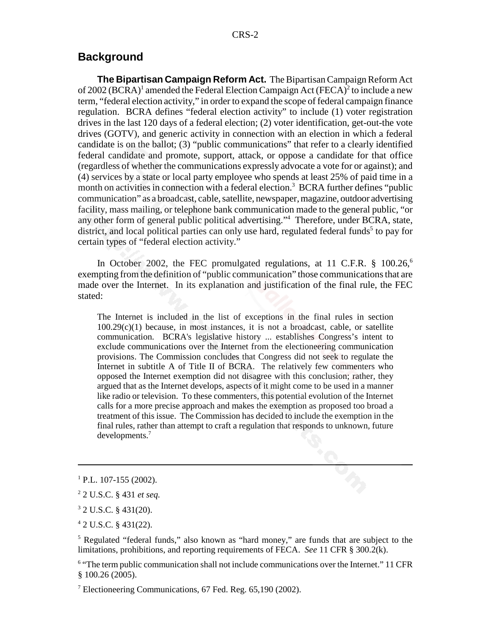#### **Background**

**The Bipartisan Campaign Reform Act.** The Bipartisan Campaign Reform Act of 2002 (BCRA)<sup>1</sup> amended the Federal Election Campaign Act (FECA)<sup>2</sup> to include a new term, "federal election activity," in order to expand the scope of federal campaign finance regulation. BCRA defines "federal election activity" to include (1) voter registration drives in the last 120 days of a federal election; (2) voter identification, get-out-the vote drives (GOTV), and generic activity in connection with an election in which a federal candidate is on the ballot; (3) "public communications" that refer to a clearly identified federal candidate and promote, support, attack, or oppose a candidate for that office (regardless of whether the communications expressly advocate a vote for or against); and (4) services by a state or local party employee who spends at least 25% of paid time in a month on activities in connection with a federal election.<sup>3</sup> BCRA further defines "public communication" as a broadcast, cable, satellite, newspaper, magazine, outdoor advertising facility, mass mailing, or telephone bank communication made to the general public, "or any other form of general public political advertising."4 Therefore, under BCRA, state, district, and local political parties can only use hard, regulated federal funds<sup>5</sup> to pay for certain types of "federal election activity."

In October 2002, the FEC promulgated regulations, at 11 C.F.R.  $\S$  100.26,<sup>6</sup> exempting from the definition of "public communication" those communications that are made over the Internet. In its explanation and justification of the final rule, the FEC stated:

The Internet is included in the list of exceptions in the final rules in section  $100.29(c)(1)$  because, in most instances, it is not a broadcast, cable, or satellite communication. BCRA's legislative history ... establishes Congress's intent to exclude communications over the Internet from the electioneering communication provisions. The Commission concludes that Congress did not seek to regulate the Internet in subtitle A of Title II of BCRA. The relatively few commenters who opposed the Internet exemption did not disagree with this conclusion; rather, they argued that as the Internet develops, aspects of it might come to be used in a manner like radio or television. To these commenters, this potential evolution of the Internet calls for a more precise approach and makes the exemption as proposed too broad a treatment of this issue. The Commission has decided to include the exemption in the final rules, rather than attempt to craft a regulation that responds to unknown, future developments.7

4 2 U.S.C. § 431(22).

<sup>5</sup> Regulated "federal funds," also known as "hard money," are funds that are subject to the limitations, prohibitions, and reporting requirements of FECA. *See* 11 CFR § 300.2(k).

<sup>6</sup> "The term public communication shall not include communications over the Internet." 11 CFR § 100.26 (2005).

<sup>7</sup> Electioneering Communications, 67 Fed. Reg. 65,190 (2002).

 $1$  P.L. 107-155 (2002).

<sup>2</sup> 2 U.S.C. § 431 *et seq.*

<sup>3</sup> 2 U.S.C. § 431(20).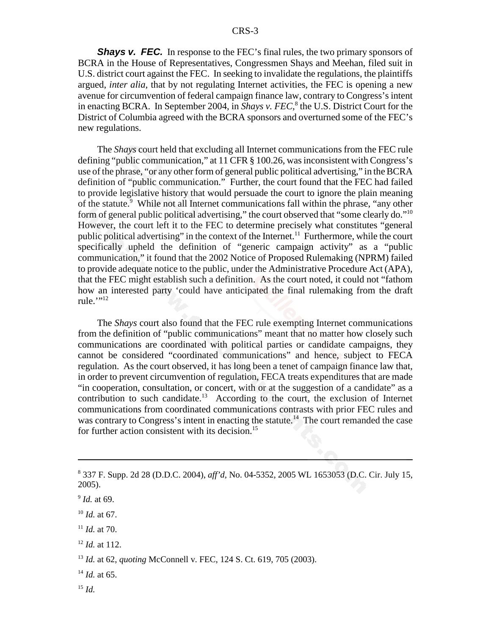**Shays v. FEC.** In response to the FEC's final rules, the two primary sponsors of BCRA in the House of Representatives, Congressmen Shays and Meehan, filed suit in U.S. district court against the FEC. In seeking to invalidate the regulations, the plaintiffs argued, *inter alia,* that by not regulating Internet activities, the FEC is opening a new avenue for circumvention of federal campaign finance law, contrary to Congress's intent in enacting BCRA. In September 2004, in *Shays v. FEC*,<sup>8</sup> the U.S. District Court for the District of Columbia agreed with the BCRA sponsors and overturned some of the FEC's new regulations.

The *Shays* court held that excluding all Internet communications from the FEC rule defining "public communication," at 11 CFR § 100.26, was inconsistent with Congress's use of the phrase, "or any other form of general public political advertising," in the BCRA definition of "public communication." Further, the court found that the FEC had failed to provide legislative history that would persuade the court to ignore the plain meaning of the statute.<sup>9</sup> While not all Internet communications fall within the phrase, "any other form of general public political advertising," the court observed that "some clearly do."10 However, the court left it to the FEC to determine precisely what constitutes "general public political advertising" in the context of the Internet.<sup>11</sup> Furthermore, while the court specifically upheld the definition of "generic campaign activity" as a "public communication," it found that the 2002 Notice of Proposed Rulemaking (NPRM) failed to provide adequate notice to the public, under the Administrative Procedure Act (APA), that the FEC might establish such a definition. As the court noted, it could not "fathom how an interested party 'could have anticipated the final rulemaking from the draft rule."<sup>12</sup>

The *Shays* court also found that the FEC rule exempting Internet communications from the definition of "public communications" meant that no matter how closely such communications are coordinated with political parties or candidate campaigns, they cannot be considered "coordinated communications" and hence, subject to FECA regulation. As the court observed, it has long been a tenet of campaign finance law that, in order to prevent circumvention of regulation, FECA treats expenditures that are made "in cooperation, consultation, or concert, with or at the suggestion of a candidate" as a contribution to such candidate.<sup>13</sup> According to the court, the exclusion of Internet communications from coordinated communications contrasts with prior FEC rules and was contrary to Congress's intent in enacting the statute.<sup>14</sup> The court remanded the case for further action consistent with its decision.<sup>15</sup>

<sup>8</sup> 337 F. Supp. 2d 28 (D.D.C. 2004), *aff'd,* No. 04-5352, 2005 WL 1653053 (D.C. Cir. July 15, 2005).

<sup>9</sup> *Id.* at 69.

<sup>10</sup> *Id.* at 67.

 $11$  *Id.* at 70.

<sup>12</sup> *Id.* at 112.

<sup>13</sup> *Id.* at 62, *quoting* McConnell v. FEC, 124 S. Ct. 619, 705 (2003).

 $^{14}$  *Id.* at 65.

<sup>15</sup> *Id.*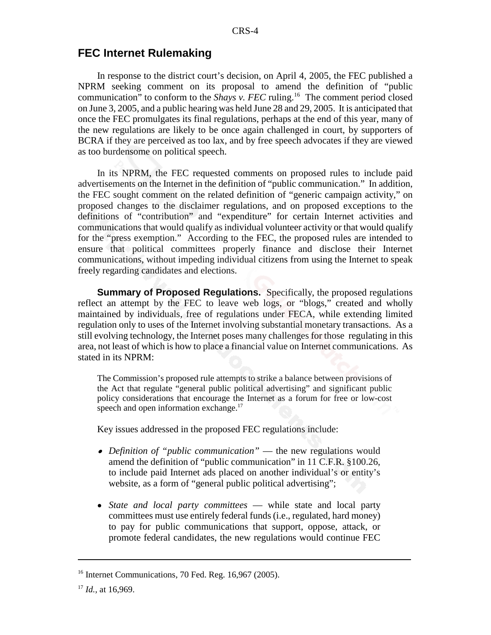#### **FEC Internet Rulemaking**

In response to the district court's decision, on April 4, 2005, the FEC published a NPRM seeking comment on its proposal to amend the definition of "public communication" to conform to the *Shays v. FEC* ruling.<sup>16</sup> The comment period closed on June 3, 2005, and a public hearing was held June 28 and 29, 2005. It is anticipated that once the FEC promulgates its final regulations, perhaps at the end of this year, many of the new regulations are likely to be once again challenged in court, by supporters of BCRA if they are perceived as too lax, and by free speech advocates if they are viewed as too burdensome on political speech.

In its NPRM, the FEC requested comments on proposed rules to include paid advertisements on the Internet in the definition of "public communication." In addition, the FEC sought comment on the related definition of "generic campaign activity," on proposed changes to the disclaimer regulations, and on proposed exceptions to the definitions of "contribution" and "expenditure" for certain Internet activities and communications that would qualify as individual volunteer activity or that would qualify for the "press exemption." According to the FEC, the proposed rules are intended to ensure that political committees properly finance and disclose their Internet communications, without impeding individual citizens from using the Internet to speak freely regarding candidates and elections.

**Summary of Proposed Requlations.** Specifically, the proposed regulations reflect an attempt by the FEC to leave web logs, or "blogs," created and wholly maintained by individuals, free of regulations under FECA, while extending limited regulation only to uses of the Internet involving substantial monetary transactions. As a still evolving technology, the Internet poses many challenges for those regulating in this area, not least of which is how to place a financial value on Internet communications. As stated in its NPRM:

The Commission's proposed rule attempts to strike a balance between provisions of the Act that regulate "general public political advertising" and significant public policy considerations that encourage the Internet as a forum for free or low-cost speech and open information exchange. $17$ 

Key issues addressed in the proposed FEC regulations include:

- ! *Definition of "public communication"* the new regulations would amend the definition of "public communication" in 11 C.F.R. §100.26, to include paid Internet ads placed on another individual's or entity's website, as a form of "general public political advertising";
- ! *State and local party committees* while state and local party committees must use entirely federal funds (i.e., regulated, hard money) to pay for public communications that support, oppose, attack, or promote federal candidates, the new regulations would continue FEC

 $16$  Internet Communications, 70 Fed. Reg. 16,967 (2005).

<sup>17</sup> *Id.,* at 16,969.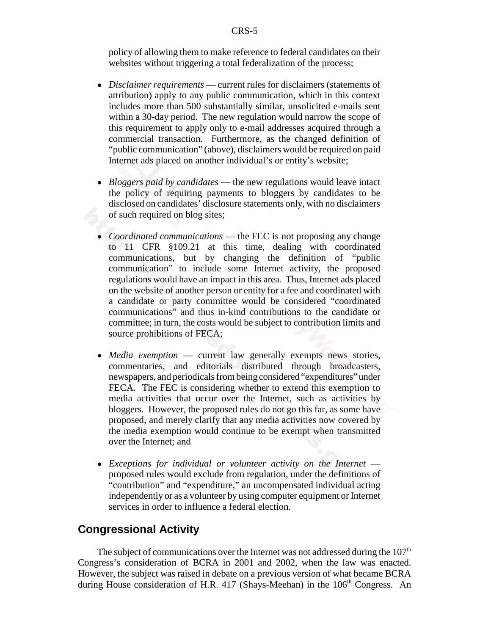policy of allowing them to make reference to federal candidates on their websites without triggering a total federalization of the process;

- ! *Disclaimer requirements* current rules for disclaimers (statements of attribution) apply to any public communication, which in this context includes more than 500 substantially similar, unsolicited e-mails sent within a 30-day period. The new regulation would narrow the scope of this requirement to apply only to e-mail addresses acquired through a commercial transaction. Furthermore, as the changed definition of "public communication" (above), disclaimers would be required on paid Internet ads placed on another individual's or entity's website;
- *Bloggers paid by candidates* the new regulations would leave intact the policy of requiring payments to bloggers by candidates to be disclosed on candidates' disclosure statements only, with no disclaimers of such required on blog sites;
- ! *Coordinated communications* the FEC is not proposing any change to 11 CFR §109.21 at this time, dealing with coordinated communications, but by changing the definition of "public communication" to include some Internet activity, the proposed regulations would have an impact in this area. Thus, Internet ads placed on the website of another person or entity for a fee and coordinated with a candidate or party committee would be considered "coordinated communications" and thus in-kind contributions to the candidate or committee; in turn, the costs would be subject to contribution limits and source prohibitions of FECA;
- *Media exemption* current law generally exempts news stories, commentaries, and editorials distributed through broadcasters, newspapers, and periodicals from being considered "expenditures" under FECA. The FEC is considering whether to extend this exemption to media activities that occur over the Internet, such as activities by bloggers. However, the proposed rules do not go this far, as some have proposed, and merely clarify that any media activities now covered by the media exemption would continue to be exempt when transmitted over the Internet; and
- ! *Exceptions for individual or volunteer activity on the Internet* proposed rules would exclude from regulation, under the definitions of "contribution" and "expenditure," an uncompensated individual acting independently or as a volunteer by using computer equipment or Internet services in order to influence a federal election.

#### **Congressional Activity**

The subject of communications over the Internet was not addressed during the  $107<sup>th</sup>$ Congress's consideration of BCRA in 2001 and 2002, when the law was enacted. However, the subject was raised in debate on a previous version of what became BCRA during House consideration of H.R. 417 (Shays-Meehan) in the 106<sup>th</sup> Congress. An